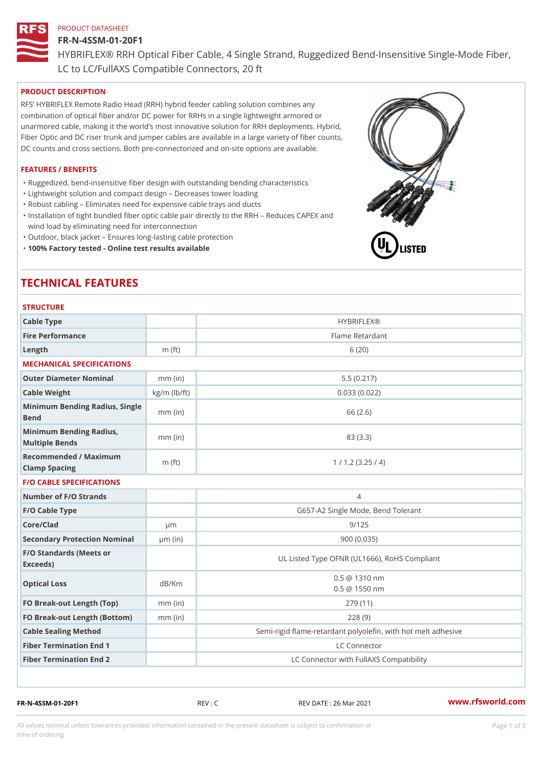### FR-N-4SSM-01-20F1

HYBRIFLEX® RRH Optical Fiber Cable, 4 Single Strand, Ruggedized Be

LC to LC/FullAXS Compatible Connectors, 20 ft

### PRODUCT DESCRIPTION

RFS HYBRIFLEX Remote Radio Head (RRH) hybrid feeder cabling solution combines any combination of optical fiber and/or DC power for RRHs in a single lightweight armored or unarmored cable, making it the world s most innovative solution for RRH deployments. Hybrid, Fiber Optic and DC riser trunk and jumper cables are available in a large variety of fiber counts, DC counts and cross sections. Both pre-connectorized and on-site options are available.

### FEATURES / BENEFITS

"Ruggedized, bend-insensitive fiber design with outstanding bending characteristics

- "Lightweight solution and compact design Decreases tower loading
- "Robust cabling Eliminates need for expensive cable trays and ducts
- "Installation of tight bundled fiber optic cable pair directly to the RRH Aeduces CAPEX and wind load by eliminating need for interconnection
- "Outdoor, black jacket Ensures long-lasting cable protection
- "100% Factory tested Online test results available

# TECHNICAL FEATURES

# STRUCTURE.

| 0 1 1 1 0 1 0 1 1 L                               |                    |                                                         |
|---------------------------------------------------|--------------------|---------------------------------------------------------|
| Cable Type                                        |                    | <b>HYBRIFLEX®</b>                                       |
| Fire Performance                                  |                    | Flame Retardant                                         |
| $L$ ength                                         | $m$ (ft)           | 6(20)                                                   |
| MECHANICAL SPECIFICATIONS                         |                    |                                                         |
| Outer Diameter Nominal                            | $mm$ (in)          | 5.5(0.217)                                              |
| Cable Weight                                      | $kg/m$ ( $lb/ft$ ) | 0.033(0.022)                                            |
| Minimum Bending Radius, Single<br>mm (in<br>Bend  |                    | 66 (2.6)                                                |
| Minimum Bending Radius, mm (in)<br>Multiple Bends |                    | 83 (3.3)                                                |
| Recommended / Maximum<br>Clamp Spacing            | $m$ (ft)           | 1 / 1.2 (3.25 / 4)                                      |
| <b>F/O CABLE SPECIFICATIONS</b>                   |                    |                                                         |
| Number of F/O Strands                             |                    | $\overline{4}$                                          |
| F/O Cable Type                                    |                    | G657-A2 Single Mode, Bend Tolerant                      |
| Core/Clad                                         | $\mu$ m            | 9/125                                                   |
| Secondary Protection Nomimal(in)                  |                    | 900 (0.035)                                             |
| F/O Standards (Meets or<br>Exceeds)               |                    | UL Listed Type OFNR (UL1666), RoHS Compliant            |
| Optical Loss                                      | dB/Km              | $0.5 \ @ \ 1310 \ nm$<br>$0.5 \t@ 1550 nm$              |
| FO Break-out Length (Top)mm (in)                  |                    | 279 (11)                                                |
| FO Break-out Length (Bottomm) (in)                |                    | 228(9)                                                  |
| Cable Sealing Method                              |                    | Semi-rigid flame-retardant polyolefin, with hot melt ad |
| Fiber Termination End                             |                    | LC Connector                                            |
| Fiber Termination End 2                           |                    | LC Connector with FullAXS Compatibility                 |

FR-N-4SSM-01-20F1 REV : C REV DATE : 26 Mar 2021 [www.](https://www.rfsworld.com)rfsworld.com

All values nominal unless tolerances provided; information contained in the present datasheet is subject to Pcapgeight Stid time of ordering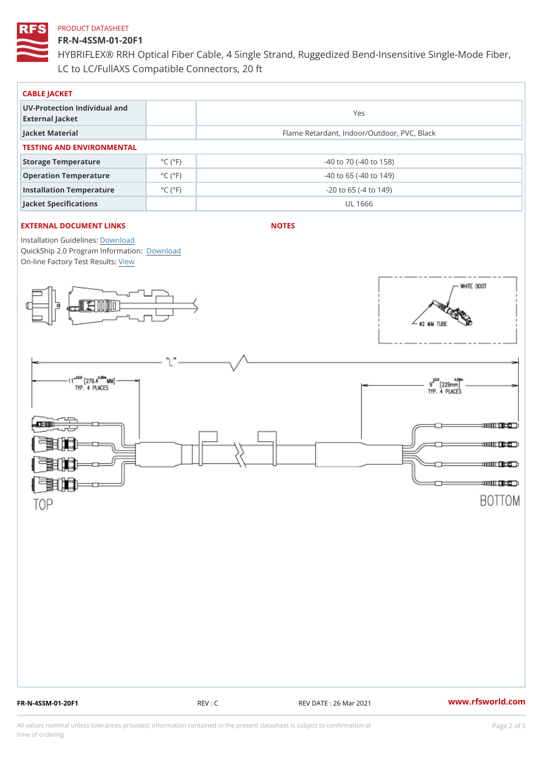# FR-N-4SSM-01-20F1

HYBRIFLEX® RRH Optical Fiber Cable, 4 Single Strand, Ruggedized Be LC to LC/FullAXS Compatible Connectors, 20 ft

| CABLE JACKET                                    |                             |                                             |  |  |  |  |
|-------------------------------------------------|-----------------------------|---------------------------------------------|--|--|--|--|
| UV-Protection Individual and<br>External Jacket |                             | Yes                                         |  |  |  |  |
| Jacket Material                                 |                             | Flame Retardant, Indoor/Outdoor, PVC, Black |  |  |  |  |
| TESTING AND ENVIRONMENTAL                       |                             |                                             |  |  |  |  |
| Storage Temperature                             | $^{\circ}$ C ( $^{\circ}$ F | $-40$ to $70$ ( $-40$ to $158$ )            |  |  |  |  |
| Operation Temperature                           | $^{\circ}$ C ( $^{\circ}$ F | $-40$ to 65 ( $-40$ to 149)                 |  |  |  |  |
| Installation Temperature                        | $^{\circ}$ C ( $^{\circ}$ F | $-20$ to 65 ( $-4$ to 149)                  |  |  |  |  |
| Jacket Specifications                           |                             | UL 1666                                     |  |  |  |  |

# EXTERNAL DOCUMENT LINKS

NOTES

Installation Guidelwinessad QuickShip 2.0 Program [Informa](http://www.rfsworld.com/images/hybriflex/quickship_program_2.pdf)tion: On-line Factory Te[s](https://www.rfsworld.com/pictures/userfiles/programs/AAST Latest Version.zip)teResults:

FR-N-4SSM-01-20F1 REV : C REV DATE : 26 Mar 2021 [www.](https://www.rfsworld.com)rfsworld.com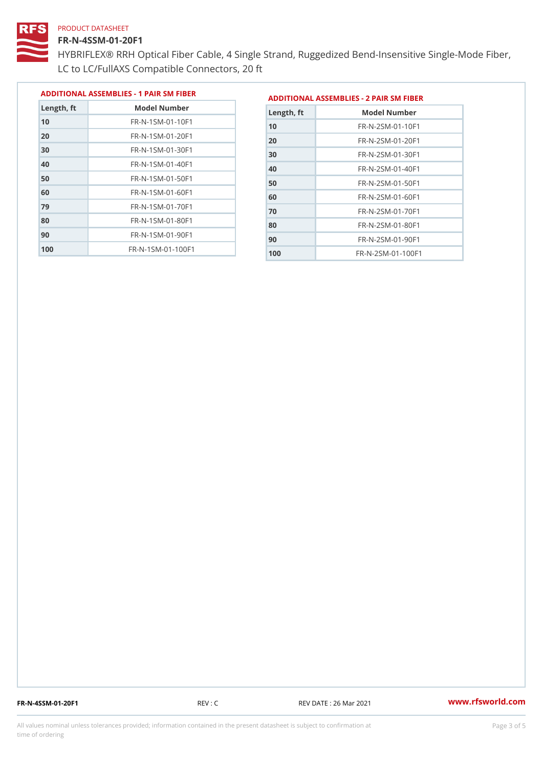# FR-N-4SSM-01-20F1

 FR-N-1SM-01-70F1 FR-N-1SM-01-80F1 FR-N-1SM-01-90F1 FR-N-1SM-01-100F1

HYBRIFLEX® RRH Optical Fiber Cable, 4 Single Strand, Ruggedized Be LC to LC/FullAXS Compatible Connectors, 20 ft

> FR-N-2SM-01-70F1 FR-N-2SM-01-80F1 FR-N-2SM-01-90F1 FR-N-2SM-01-100F1

|               |                                |               | ADDITIONAL ASSEMBLIES - 1 PAIR SM FIBERDDITIONAL ASSEMBLIES - 2 PAIR SM FIBER |
|---------------|--------------------------------|---------------|-------------------------------------------------------------------------------|
| $L$ ength, ft | Model Number                   | $L$ ength, ft | Model Number                                                                  |
| 10            | FR-N-1SM-01-10F1               | 10            | FR-N-2SM-01-10F1                                                              |
| 20            | $FR - N - 1 SM - 01 - 20 F1$   | 20            | FR-N-2SM-01-20F1                                                              |
| 30            | $FR - N - 1$ S M - 01 - 30 F 1 | 30            | $FR - N - 2 SM - 01 - 30 F1$                                                  |
| 40            | FR-N-1SM-01-40F1               | 40            | FR-N-2SM-01-40F1                                                              |
| 50            | $FR - N - 1 SM - 01 - 50 F1$   | 50            | FR-N-2SM-01-50F1                                                              |
| 60            | $FR - N - 1$ S M - 01 - 60 F 1 | 60            | $FR - N - 2 SM - 01 - 60 F1$                                                  |

FR-N-4SSM-01-20F1 REV : C REV DATE : 26 Mar 2021 [www.](https://www.rfsworld.com)rfsworld.com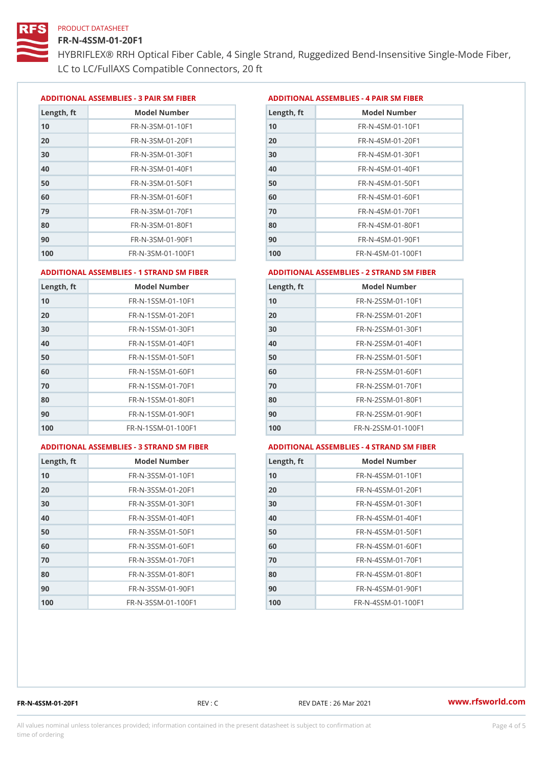### FR-N-4SSM-01-20F1

HYBRIFLEX® RRH Optical Fiber Cable, 4 Single Strand, Ruggedized Be LC to LC/FullAXS Compatible Connectors, 20 ft

ADDITIONAL ASSEMBLIES - 3 PAIR SM FIBERED DITIONAL ASSEMBLIES - 4 PAIR SM FIBER

| Length, ft | Model Number                   |
|------------|--------------------------------|
| 10         | $FR - N - 3 S M - 01 - 10 F1$  |
| 20         | FR-N-3SM-01-20F1               |
| 30         | FR-N-3SM-01-30F1               |
| 40         | $FR - N - 3 S M - 01 - 40 F1$  |
| 50         | FR-N-3SM-01-50F1               |
| 60         | $FR - N - 3 S M - 01 - 60 F1$  |
| 79         | $FR - N - 3 S M - 01 - 70 F1$  |
| 80         | $FR - N - 3 S M - 01 - 80 F1$  |
| 90         | FR-N-3SM-01-90F1               |
| 100        | $FR - N - 3 S M - 01 - 100 F1$ |

| Length, ft | Model Number                   |
|------------|--------------------------------|
| 10         | FR-N-4SM-01-10F1               |
| 20         | $FR - N - 4 SM - 01 - 20 F1$   |
| 30         | $FR - N - 4 S M - 01 - 30 F1$  |
| 40         | $FR - N - 4 SM - 01 - 40 F1$   |
| 50         | FR-N-4SM-01-50F1               |
| 60         | $FR - N - 4 SM - 01 - 60 F1$   |
| 70         | FR-N-4SM-01-70F1               |
| 80         | $FR - N - 4 S M - 01 - 80 F1$  |
| 90         | FR-N-4SM-01-90F1               |
| 100        | $FR - N - 4 S M - 01 - 100 F1$ |

#### ADDITIONAL ASSEMBLIES - 1 STRAND SM FABSDRTIONAL ASSEMBLIES - 2 STRAND SM FIBER

| Length, ft | Model Number                     | Length, ft | Model Number                |
|------------|----------------------------------|------------|-----------------------------|
| 10         | FR-N-1SSM-01-10F1                | 10         | FR-N-2SSM-01-10F1           |
| 20         | FR-N-1SSM-01-20F1                | 20         | FR-N-2SSM-01-20F1           |
| 30         | FR-N-1SSM-01-30F1                | 30         | FR-N-2SSM-01-30F1           |
| 40         | $FR - N - 1$ S S M - 01 - 40 F 1 | 40         | $FR - N - 2SSM - 01 - 40F1$ |
| 50         | $FR - N - 1$ S S M - 01 - 50 F 1 | 50         | $FR - N - 2SSM - 01 - 50F1$ |
| 60         | FR-N-1SSM-01-60F1                | 60         | $FR - N - 2SSM - 01 - 60F1$ |
| 70         | $FR - N - 1$ S S M - 01 - 70 F 1 | 70         | $FR - N - 2SSM - 01 - 70F1$ |
| 80         | FR-N-1SSM-01-80F1                | 80         | FR-N-2SSM-01-80F1           |
| 90         | FR-N-1SSM-01-90F1                | 90         | $FR - N - 2SSM - 01 - 90F1$ |
| 100        | FR-N-1SSM-01-100F1               | 100        | FR-N-2SSM-01-100F1          |
|            |                                  |            |                             |

#### ADDITIONAL ASSEMBLIES - 3 STRAND SM FABSDRTIONAL ASSEMBLIES - 4 STRAND SM FIBER

| Length, ft | Model Number                    |
|------------|---------------------------------|
| 10         | $FR - N - 3 S S M - 01 - 10 F1$ |
| 20         | FR-N-3SSM-01-20F1               |
| 30         | FR-N-3SSM-01-30F1               |
| 40         | FR-N-3SSM-01-40F1               |
| 50         | $FR - N - 3 S S M - 01 - 50 F1$ |
| 60         | $FR - N - 3 S S M - 01 - 60 F1$ |
| 70         | $FR - N - 3 S S M - 01 - 70 F1$ |
| 80         | FR-N-3SSM-01-80F1               |
| 90         | FR-N-3SSM-01-90F1               |
| 100        | FR-N-3SSM-01-100F1              |

| Length, ft | Model Number                     |
|------------|----------------------------------|
| 10         | FR-N-4SSM-01-10F1                |
| 20         | $FR - N - 4 S S M - 01 - 20 F1$  |
| 30         | $FR - N - 4 S S M - 01 - 30 F1$  |
| 40         | $FR - N - 4$ S S M - 01 - 40 F 1 |
| 50         | FR-N-4SSM-01-50F1                |
| 60         | FR-N-4SSM-01-60F1                |
| 70         | $FR - N - 4$ S S M - 01 - 70 F 1 |
| 80         | FR-N-4SSM-01-80F1                |
| 90         | FR-N-4SSM-01-90F1                |
| 100        | FR-N-4SSM-01-100F1               |

FR-N-4SSM-01-20F1 REV : C REV DATE : 26 Mar 2021 [www.](https://www.rfsworld.com)rfsworld.com

All values nominal unless tolerances provided; information contained in the present datasheet is subject to Pcapgnéig4m ssti time of ordering